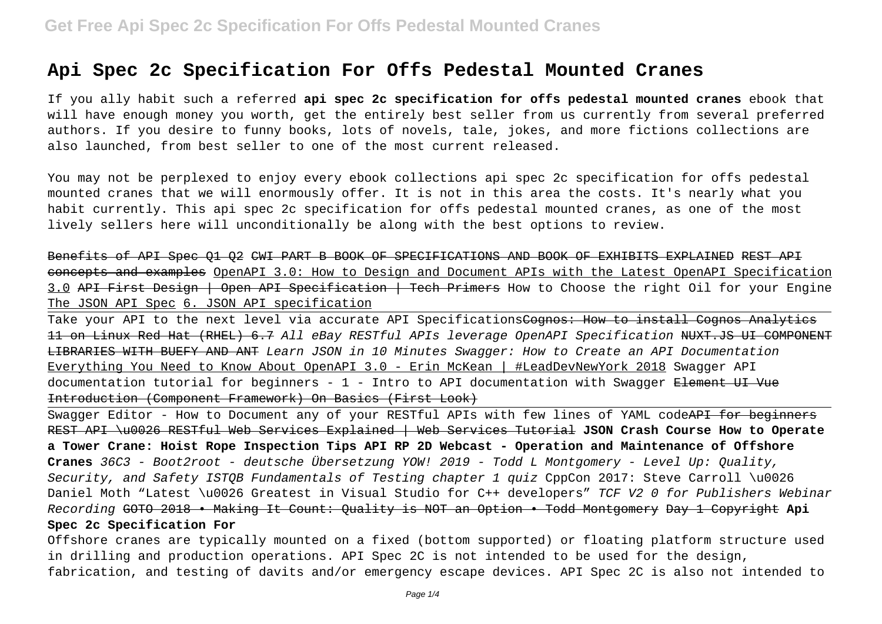# **Api Spec 2c Specification For Offs Pedestal Mounted Cranes**

If you ally habit such a referred **api spec 2c specification for offs pedestal mounted cranes** ebook that will have enough money you worth, get the entirely best seller from us currently from several preferred authors. If you desire to funny books, lots of novels, tale, jokes, and more fictions collections are also launched, from best seller to one of the most current released.

You may not be perplexed to enjoy every ebook collections api spec 2c specification for offs pedestal mounted cranes that we will enormously offer. It is not in this area the costs. It's nearly what you habit currently. This api spec 2c specification for offs pedestal mounted cranes, as one of the most lively sellers here will unconditionally be along with the best options to review.

Benefits of API Spec Q1 Q2 CWI PART B BOOK OF SPECIFICATIONS AND BOOK OF EXHIBITS EXPLAINED REST API concepts and examples OpenAPI 3.0: How to Design and Document APIs with the Latest OpenAPI Specification 3.0 API First Design | Open API Specification | Tech Primers How to Choose the right Oil for your Engine The JSON API Spec 6. JSON API specification

Take your API to the next level via accurate API Specifications<del>Cognos: How to install Cognos Analytics</del> 11 on Linux Red Hat (RHEL) 6.7 All eBay RESTful APIs leverage OpenAPI Specification NUXT.JS UI COMPONENT LIBRARIES WITH BUEFY AND ANT Learn JSON in 10 Minutes Swagger: How to Create an API Documentation Everything You Need to Know About OpenAPI 3.0 - Erin McKean | #LeadDevNewYork 2018 Swagger API documentation tutorial for beginners -  $1$  - Intro to API documentation with Swagger Element UI Vue Introduction (Component Framework) On Basics (First Look)

Swagger Editor - How to Document any of your RESTful APIs with few lines of YAML code<del>API for beginners</del> REST API \u0026 RESTful Web Services Explained | Web Services Tutorial **JSON Crash Course How to Operate a Tower Crane: Hoist Rope Inspection Tips API RP 2D Webcast - Operation and Maintenance of Offshore Cranes** 36C3 - Boot2root - deutsche Übersetzung YOW! 2019 - Todd L Montgomery - Level Up: Quality, Security, and Safety ISTOB Fundamentals of Testing chapter 1 quiz CppCon 2017: Steve Carroll \u0026 Daniel Moth "Latest \u0026 Greatest in Visual Studio for C++ developers" TCF V2 0 for Publishers Webinar Recording GOTO 2018 • Making It Count: Quality is NOT an Option • Todd Montgomery Day 1 Copyright **Api Spec 2c Specification For**

Offshore cranes are typically mounted on a fixed (bottom supported) or floating platform structure used in drilling and production operations. API Spec 2C is not intended to be used for the design, fabrication, and testing of davits and/or emergency escape devices. API Spec 2C is also not intended to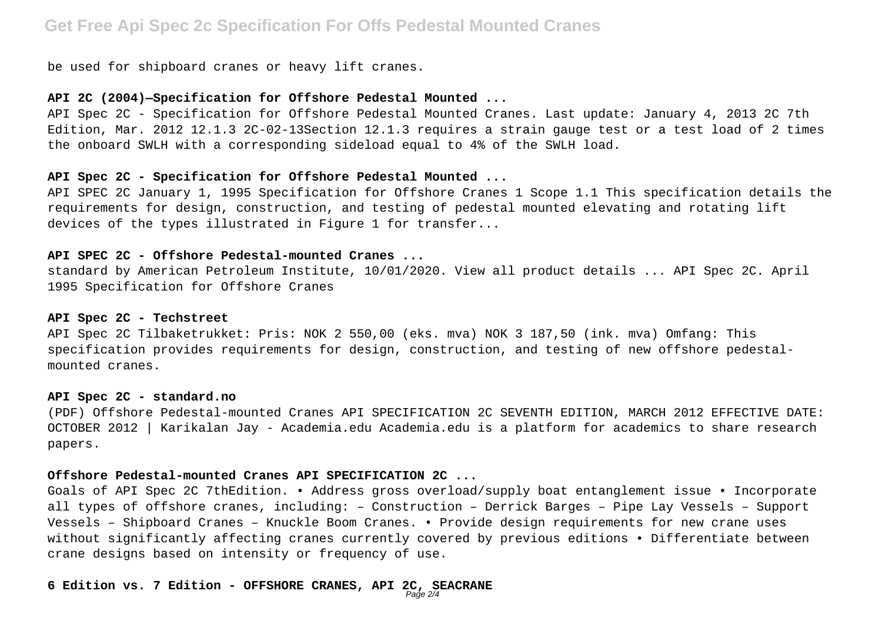# **Get Free Api Spec 2c Specification For Offs Pedestal Mounted Cranes**

be used for shipboard cranes or heavy lift cranes.

#### **API 2C (2004)—Specification for Offshore Pedestal Mounted ...**

API Spec 2C - Specification for Offshore Pedestal Mounted Cranes. Last update: January 4, 2013 2C 7th Edition, Mar. 2012 12.1.3 2C-02-13Section 12.1.3 requires a strain gauge test or a test load of 2 times the onboard SWLH with a corresponding sideload equal to 4% of the SWLH load.

#### **API Spec 2C - Specification for Offshore Pedestal Mounted ...**

API SPEC 2C January 1, 1995 Specification for Offshore Cranes 1 Scope 1.1 This specification details the requirements for design, construction, and testing of pedestal mounted elevating and rotating lift devices of the types illustrated in Figure 1 for transfer...

# **API SPEC 2C - Offshore Pedestal-mounted Cranes ...**

standard by American Petroleum Institute, 10/01/2020. View all product details ... API Spec 2C. April 1995 Specification for Offshore Cranes

#### **API Spec 2C - Techstreet**

API Spec 2C Tilbaketrukket: Pris: NOK 2 550,00 (eks. mva) NOK 3 187,50 (ink. mva) Omfang: This specification provides requirements for design, construction, and testing of new offshore pedestalmounted cranes.

#### **API Spec 2C - standard.no**

(PDF) Offshore Pedestal-mounted Cranes API SPECIFICATION 2C SEVENTH EDITION, MARCH 2012 EFFECTIVE DATE: OCTOBER 2012 | Karikalan Jay - Academia.edu Academia.edu is a platform for academics to share research papers.

#### **Offshore Pedestal-mounted Cranes API SPECIFICATION 2C ...**

Goals of API Spec 2C 7thEdition. • Address gross overload/supply boat entanglement issue • Incorporate all types of offshore cranes, including: – Construction – Derrick Barges – Pipe Lay Vessels – Support Vessels – Shipboard Cranes – Knuckle Boom Cranes. • Provide design requirements for new crane uses without significantly affecting cranes currently covered by previous editions • Differentiate between crane designs based on intensity or frequency of use.

#### **6 Edition vs. 7 Edition - OFFSHORE CRANES, API 2C, SEACRANE** Page 2/4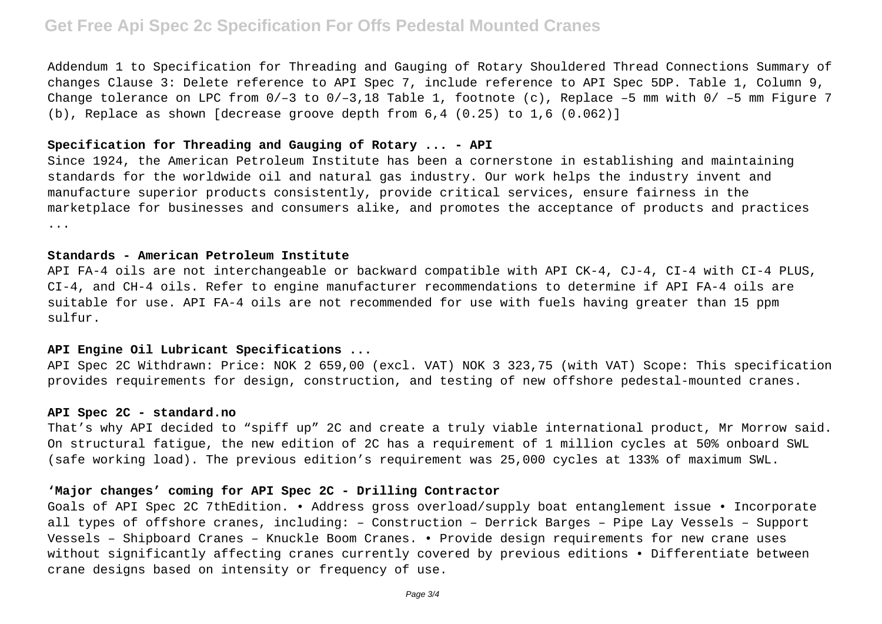# **Get Free Api Spec 2c Specification For Offs Pedestal Mounted Cranes**

Addendum 1 to Specification for Threading and Gauging of Rotary Shouldered Thread Connections Summary of changes Clause 3: Delete reference to API Spec 7, include reference to API Spec 5DP. Table 1, Column 9, Change tolerance on LPC from  $0/-3$  to  $0/-3$ , 18 Table 1, footnote (c), Replace  $-5$  mm with  $0/-5$  mm Figure 7 (b), Replace as shown [decrease groove depth from  $6,4$   $(0.25)$  to  $1,6$   $(0.062)$ ]

### **Specification for Threading and Gauging of Rotary ... - API**

Since 1924, the American Petroleum Institute has been a cornerstone in establishing and maintaining standards for the worldwide oil and natural gas industry. Our work helps the industry invent and manufacture superior products consistently, provide critical services, ensure fairness in the marketplace for businesses and consumers alike, and promotes the acceptance of products and practices ...

### **Standards - American Petroleum Institute**

API FA-4 oils are not interchangeable or backward compatible with API CK-4, CJ-4, CI-4 with CI-4 PLUS, CI-4, and CH-4 oils. Refer to engine manufacturer recommendations to determine if API FA-4 oils are suitable for use. API FA-4 oils are not recommended for use with fuels having greater than 15 ppm sulfur.

### **API Engine Oil Lubricant Specifications ...**

API Spec 2C Withdrawn: Price: NOK 2 659,00 (excl. VAT) NOK 3 323,75 (with VAT) Scope: This specification provides requirements for design, construction, and testing of new offshore pedestal-mounted cranes.

#### **API Spec 2C - standard.no**

That's why API decided to "spiff up" 2C and create a truly viable international product, Mr Morrow said. On structural fatigue, the new edition of 2C has a requirement of 1 million cycles at 50% onboard SWL (safe working load). The previous edition's requirement was 25,000 cycles at 133% of maximum SWL.

### **'Major changes' coming for API Spec 2C - Drilling Contractor**

Goals of API Spec 2C 7thEdition. • Address gross overload/supply boat entanglement issue • Incorporate all types of offshore cranes, including: – Construction – Derrick Barges – Pipe Lay Vessels – Support Vessels – Shipboard Cranes – Knuckle Boom Cranes. • Provide design requirements for new crane uses without significantly affecting cranes currently covered by previous editions • Differentiate between crane designs based on intensity or frequency of use.